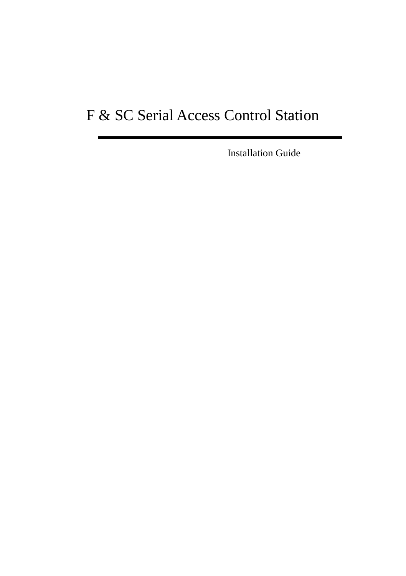# F & SC Serial Access Control Station

Installation Guide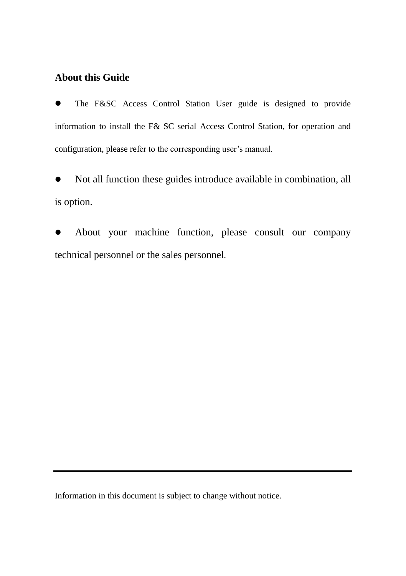#### **About this Guide**

 The F&SC Access Control Station User guide is designed to provide information to install the F& SC serial Access Control Station, for operation and configuration, please refer to the corresponding user's manual.

 Not all function these guides introduce available in combination, all is option.

 About your machine function, please consult our company technical personnel or the sales personnel.

Information in this document is subject to change without notice.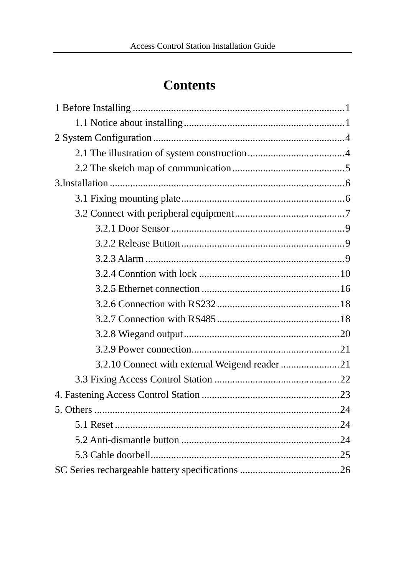# **Contents**

| 3.2.10 Connect with external Weigend reader 21 |  |
|------------------------------------------------|--|
|                                                |  |
|                                                |  |
|                                                |  |
|                                                |  |
|                                                |  |
|                                                |  |
|                                                |  |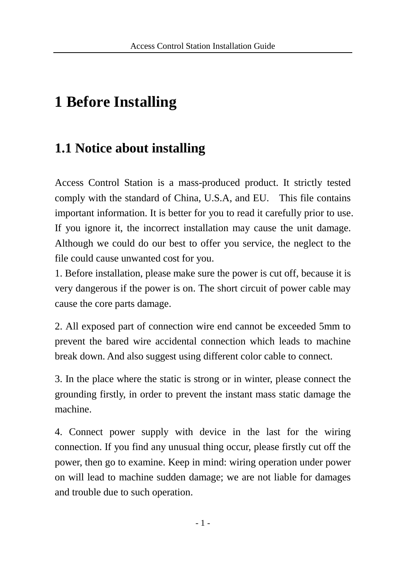# <span id="page-3-0"></span>**1 Before Installing**

## <span id="page-3-1"></span>**1.1 Notice about installing**

Access Control Station is a mass-produced product. It strictly tested comply with the standard of China, U.S.A, and EU. This file contains important information. It is better for you to read it carefully prior to use. If you ignore it, the incorrect installation may cause the unit damage. Although we could do our best to offer you service, the neglect to the file could cause unwanted cost for you.

1. Before installation, please make sure the power is cut off, because it is very dangerous if the power is on. The short circuit of power cable may cause the core parts damage.

2. All exposed part of connection wire end cannot be exceeded 5mm to prevent the bared wire accidental connection which leads to machine break down. And also suggest using different color cable to connect.

3. In the place where the static is strong or in winter, please connect the grounding firstly, in order to prevent the instant mass static damage the machine.

4. Connect power supply with device in the last for the wiring connection. If you find any unusual thing occur, please firstly cut off the power, then go to examine. Keep in mind: wiring operation under power on will lead to machine sudden damage; we are not liable for damages and trouble due to such operation.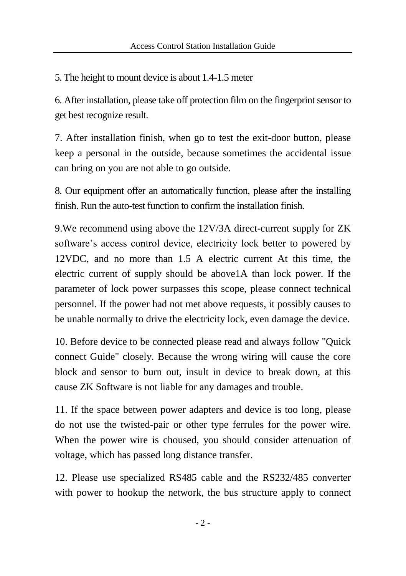5. The height to mount device is about 1.4-1.5 meter

6. After installation, please take off protection film on the fingerprint sensor to get best recognize result.

7. After installation finish, when go to test the exit-door button, please keep a personal in the outside, because sometimes the accidental issue can bring on you are not able to go outside.

8. Our equipment offer an automatically function, please after the installing finish. Run the auto-test function to confirm the installation finish.

9.We recommend using above the 12V/3A direct-current supply for ZK software's access control device, electricity lock better to powered by 12VDC, and no more than 1.5 A electric current At this time, the electric current of supply should be above1A than lock power. If the parameter of lock power surpasses this scope, please connect technical personnel. If the power had not met above requests, it possibly causes to be unable normally to drive the electricity lock, even damage the device.

10. Before device to be connected please read and always follow "Quick connect Guide" closely. Because the wrong wiring will cause the core block and sensor to burn out, insult in device to break down, at this cause ZK Software is not liable for any damages and trouble.

11. If the space between power adapters and device is too long, please do not use the twisted-pair or other type ferrules for the power wire. When the power wire is choused, you should consider attenuation of voltage, which has passed long distance transfer.

12. Please use specialized RS485 cable and the RS232/485 converter with power to hookup the network, the bus structure apply to connect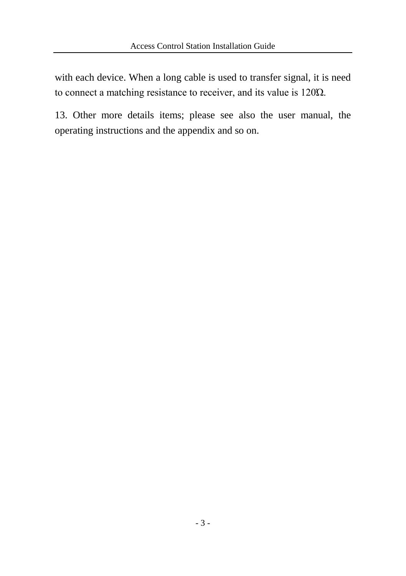with each device. When a long cable is used to transfer signal, it is need to connect a matching resistance to receiver, and its value is 120Ώ.

13. Other more details items; please see also the user manual, the operating instructions and the appendix and so on.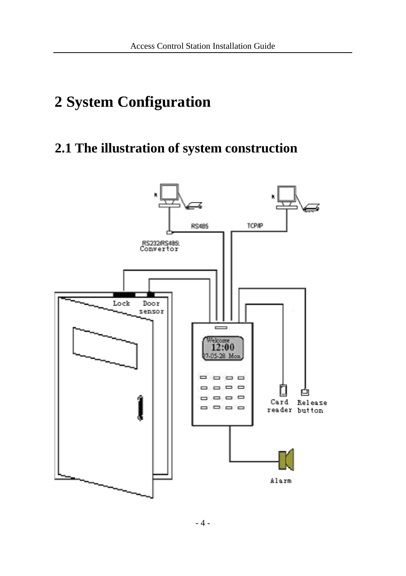# <span id="page-6-0"></span>**2 System Configuration**

## <span id="page-6-1"></span>**2.1 The illustration of system construction**

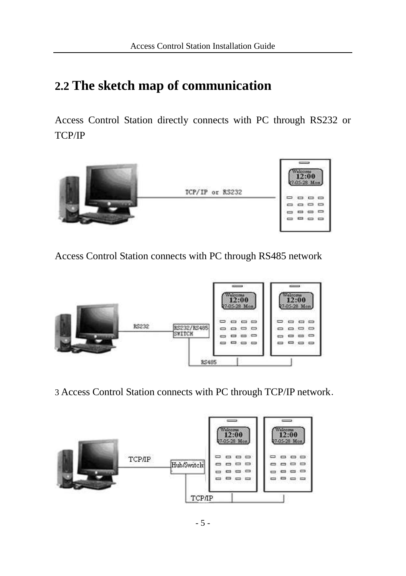# <span id="page-7-0"></span>**2.2 The sketch map of communication**

Access Control Station directly connects with PC through RS232 or TCP/IP



Access Control Station connects with PC through RS485 network



3 Access Control Station connects with PC through TCP/IP network.

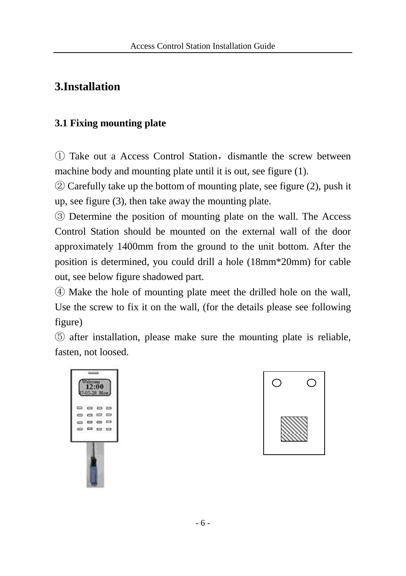## <span id="page-8-0"></span>**3.Installation**

### <span id="page-8-1"></span>**3.1 Fixing mounting plate**

 $\Omega$  Take out a Access Control Station, dismantle the screw between machine body and mounting plate until it is out, see figure (1).

② Carefully take up the bottom of mounting plate, see figure (2), push it up, see figure (3), then take away the mounting plate.

③ Determine the position of mounting plate on the wall. The Access Control Station should be mounted on the external wall of the door approximately 1400mm from the ground to the unit bottom. After the position is determined, you could drill a hole (18mm\*20mm) for cable out, see below figure shadowed part.

④ Make the hole of mounting plate meet the drilled hole on the wall, Use the screw to fix it on the wall, (for the details please see following figure)

⑤ after installation, please make sure the mounting plate is reliable, fasten, not loosed.



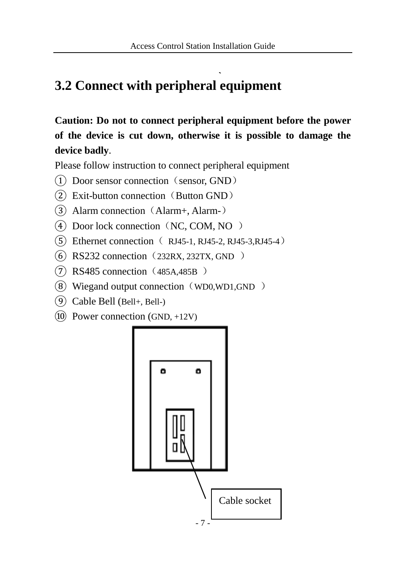# <span id="page-9-0"></span>**3.2 Connect with peripheral equipment**

**Caution: Do not to connect peripheral equipment before the power of the device is cut down, otherwise it is possible to damage the device badly**.

Please follow instruction to connect peripheral equipment

- $(1)$  Door sensor connection (sensor, GND)
- (2) Exit-button connection (Button GND)
- ③ Alarm connection(Alarm+, Alarm-)
- (4) Door lock connection (NC, COM, NO )
- $(5)$  Ethernet connection (RJ45-1, RJ45-2, RJ45-3,RJ45-4)
- $\overline{6}$  RS232 connection (232RX, 232TX, GND)
- $(7)$  RS485 connection (485A,485B)
- ⑧ Wiegand output connection(WD0,WD1,GND )
- ⑨ Cable Bell (Bell+, Bell-)
- ⑩ Power connection (GND, +12V)

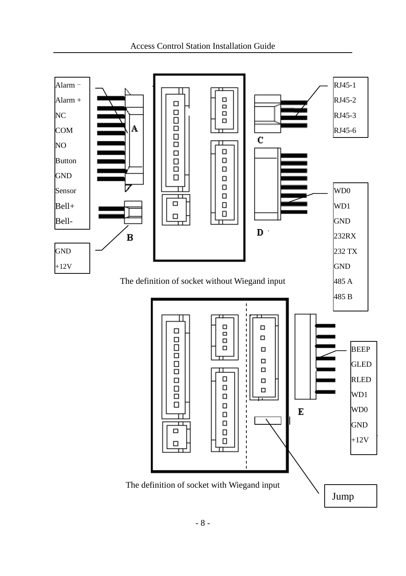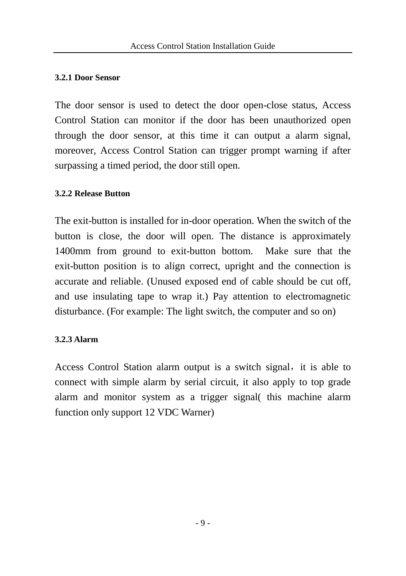#### <span id="page-11-0"></span>**3.2.1 Door Sensor**

The door sensor is used to detect the door open-close status, Access Control Station can monitor if the door has been unauthorized open through the door sensor, at this time it can output a alarm signal, moreover, Access Control Station can trigger prompt warning if after surpassing a timed period, the door still open.

#### <span id="page-11-1"></span>**3.2.2 Release Button**

The exit-button is installed for in-door operation. When the switch of the button is close, the door will open. The distance is approximately 1400mm from ground to exit-button bottom. Make sure that the exit-button position is to align correct, upright and the connection is accurate and reliable. (Unused exposed end of cable should be cut off, and use insulating tape to wrap it.) Pay attention to electromagnetic disturbance. (For example: The light switch, the computer and so on)

#### <span id="page-11-2"></span>**3.2.3 Alarm**

Access Control Station alarm output is a switch signal, it is able to connect with simple alarm by serial circuit, it also apply to top grade alarm and monitor system as a trigger signal( this machine alarm function only support 12 VDC Warner)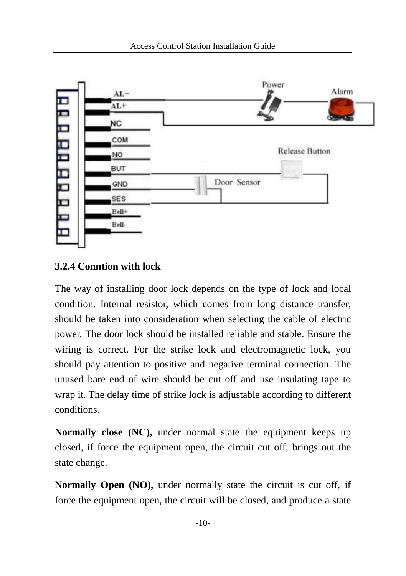

#### <span id="page-12-0"></span>**3.2.4 Conntion with lock**

The way of installing door lock depends on the type of lock and local condition. Internal resistor, which comes from long distance transfer, should be taken into consideration when selecting the cable of electric power. The door lock should be installed reliable and stable. Ensure the wiring is correct. For the strike lock and electromagnetic lock, you should pay attention to positive and negative terminal connection. The unused bare end of wire should be cut off and use insulating tape to wrap it. The delay time of strike lock is adjustable according to different conditions.

**Normally close (NC),** under normal state the equipment keeps up closed, if force the equipment open, the circuit cut off, brings out the state change.

**Normally Open (NO),** under normally state the circuit is cut off, if force the equipment open, the circuit will be closed, and produce a state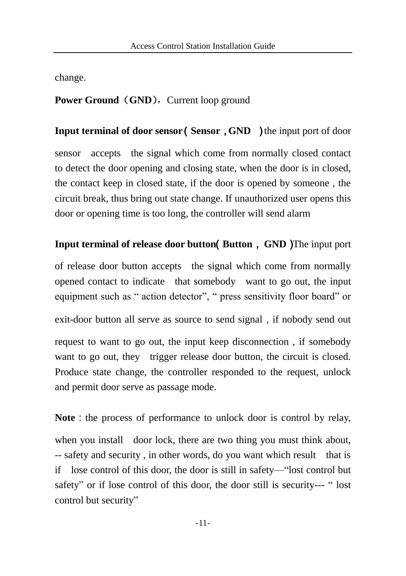change.

### **Power Ground** (**GND**), Current loop ground

### **Input terminal of door sensor**(**Sensor**,**GND** )the input port of door

sensor accepts the signal which come from normally closed contact to detect the door opening and closing state, when the door is in closed, the contact keep in closed state, if the door is opened by someone , the circuit break, thus bring out state change. If unauthorized user opens this door or opening time is too long, the controller will send alarm

### **Input terminal of release door button**(**Button**,**GND**)The input port

of release door button accepts the signal which come from normally opened contact to indicate that somebody want to go out, the input equipment such as " action detector", " press sensitivity floor board" or

exit-door button all serve as source to send signal, if nobody send out

request to want to go out, the input keep disconnection , if somebody want to go out, they trigger release door button, the circuit is closed. Produce state change, the controller responded to the request, unlock and permit door serve as passage mode.

**Note**: the process of performance to unlock door is control by relay,

when you install door lock, there are two thing you must think about, -- safety and security , in other words, do you want which result that is if lose control of this door, the door is still in safety—"lost control but safety" or if lose control of this door, the door still is security--- " lost control but security"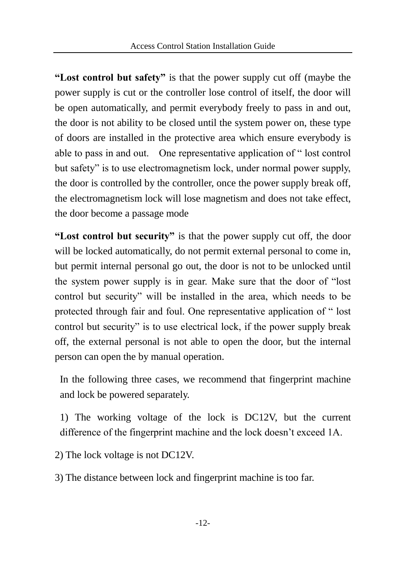**"Lost control but safety"** is that the power supply cut off (maybe the power supply is cut or the controller lose control of itself, the door will be open automatically, and permit everybody freely to pass in and out, the door is not ability to be closed until the system power on, these type of doors are installed in the protective area which ensure everybody is able to pass in and out. One representative application of " lost control but safety" is to use electromagnetism lock, under normal power supply, the door is controlled by the controller, once the power supply break off, the electromagnetism lock will lose magnetism and does not take effect, the door become a passage mode

**"Lost control but security"** is that the power supply cut off, the door will be locked automatically, do not permit external personal to come in, but permit internal personal go out, the door is not to be unlocked until the system power supply is in gear. Make sure that the door of "lost control but security" will be installed in the area, which needs to be protected through fair and foul. One representative application of " lost control but security" is to use electrical lock, if the power supply break off, the external personal is not able to open the door, but the internal person can open the by manual operation.

In the following three cases, we recommend that fingerprint machine and lock be powered separately.

1) The working voltage of the lock is DC12V, but the current difference of the fingerprint machine and the lock doesn't exceed 1A.

2) The lock voltage is not DC12V.

3) The distance between lock and fingerprint machine is too far.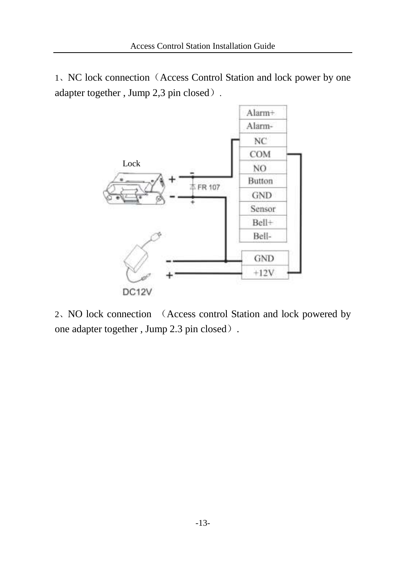1、NC lock connection (Access Control Station and lock power by one adapter together , Jump 2,3 pin closed).



2、NO lock connection (Access control Station and lock powered by one adapter together , Jump 2.3 pin closed).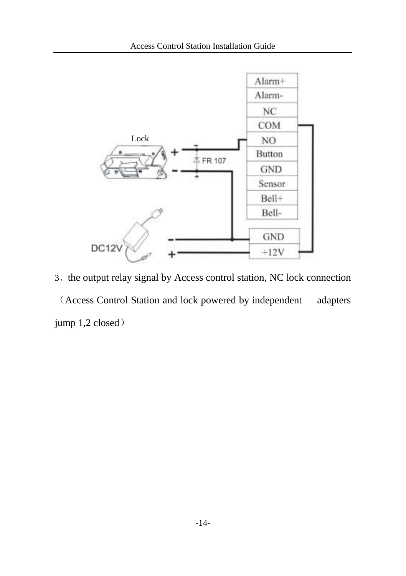

3、the output relay signal by Access control station, NC lock connection (Access Control Station and lock powered by independent adapters jump 1,2 closed)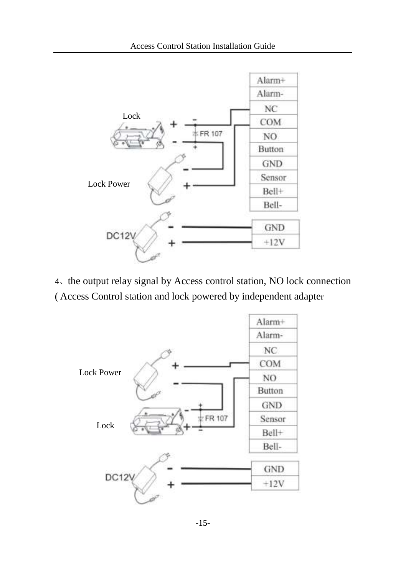

4、the output relay signal by Access control station, NO lock connection ( Access Control station and lock powered by independent adapter

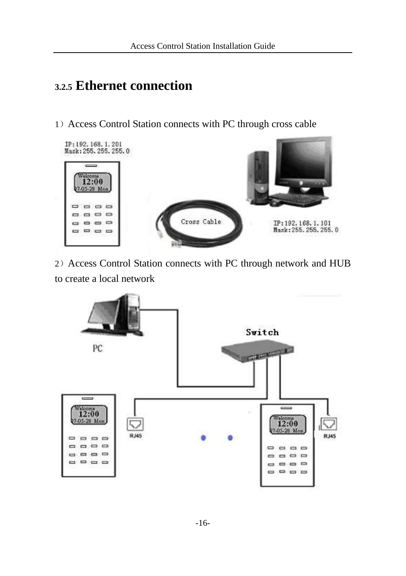## <span id="page-18-0"></span>**3.2.5 Ethernet connection**

1) Access Control Station connects with PC through cross cable



2) Access Control Station connects with PC through network and HUB to create a local network

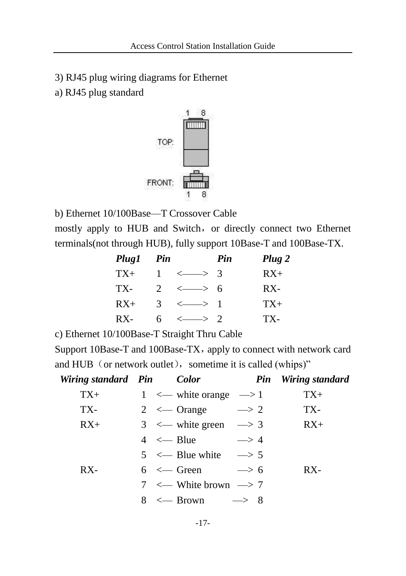3) RJ45 plug wiring diagrams for Ethernet

a) RJ45 plug standard



b) Ethernet 10/100Base—T Crossover Cable

mostly apply to HUB and Switch, or directly connect two Ethernet terminals(not through HUB), fully support 10Base-T and 100Base-TX.

| Plug1 Pin  |                              | Pin | Plug 2 |
|------------|------------------------------|-----|--------|
| $TX_{\pm}$ | $1 \leftarrow \rightarrow 3$ |     | $RX+$  |
| TX-        | 2 $\leftarrow$ 6             |     | $RX -$ |
| $RX+$      | $3 \leftarrow \rightarrow 1$ |     | $TX+$  |
| $RX -$     | 6 $\leftarrow$ 2             |     | TX-    |

c) Ethernet 10/100Base-T Straight Thru Cable

Support 10Base-T and 100Base-TX, apply to connect with network card and  $HUB$  (or network outlet), sometime it is called (whips)"

| Wiring standard Pin Color |                                             |                     | <b>Pin</b> Wiring standard |
|---------------------------|---------------------------------------------|---------------------|----------------------------|
| $TX+$                     | 1 $\leftarrow$ white orange $\rightarrow$ 1 |                     | $TX+$                      |
| TX-                       | $2 \leftarrow$ Orange                       | $\Rightarrow$ 2     | TX-                        |
| $RX+$                     | $3 \leftarrow$ white green $\rightarrow$ 3  |                     | $RX+$                      |
|                           | $4 \leftarrow$ Blue                         | $\Rightarrow$ 4     |                            |
|                           | $5 \leq$ Blue white                         | $\Rightarrow$ 5     |                            |
| $RX -$                    | $6 \leq$ Green                              | $\Rightarrow$ 6     | $RX -$                     |
|                           | $7 \le$ White brown $\Rightarrow$ 7         |                     |                            |
|                           | $8 \leq$ Brown                              | $\longrightarrow 8$ |                            |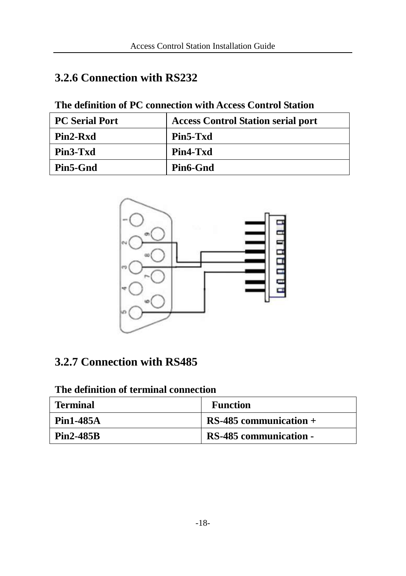### <span id="page-20-0"></span>**3.2.6 Connection with RS232**

#### **The definition of PC connection with Access Control Station**

| PC Serial Port | <b>Access Control Station serial port</b> |
|----------------|-------------------------------------------|
| Pin2-Rxd       | Pin5-Txd                                  |
| Pin3-Txd       | Pin4-Txd                                  |
| Pin5-Gnd       | Pin6-Gnd                                  |



### <span id="page-20-1"></span>**3.2.7 Connection with RS485**

**The definition of terminal connection**

| <b>Terminal</b>  | <b>Function</b>          |
|------------------|--------------------------|
| <b>Pin1-485A</b> | $RS-485$ communication + |
| <b>Pin2-485B</b> | RS-485 communication -   |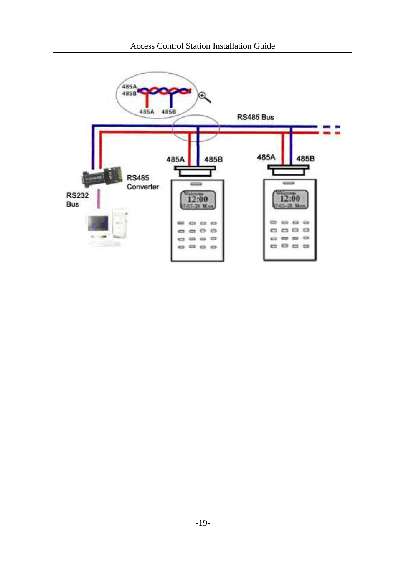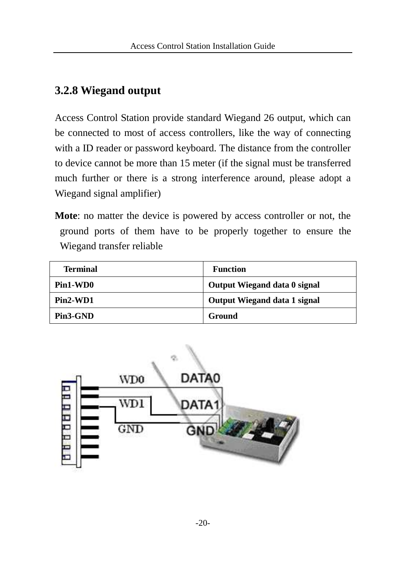### <span id="page-22-0"></span>**3.2.8 Wiegand output**

Access Control Station provide standard Wiegand 26 output, which can be connected to most of access controllers, like the way of connecting with a ID reader or password keyboard. The distance from the controller to device cannot be more than 15 meter (if the signal must be transferred much further or there is a strong interference around, please adopt a Wiegand signal amplifier)

**Mote**: no matter the device is powered by access controller or not, the ground ports of them have to be properly together to ensure the Wiegand transfer reliable

| <b>Terminal</b> | <b>Function</b>              |
|-----------------|------------------------------|
| Pin1-WD0        | Output Wiegand data 0 signal |
| Pin2-WD1        | Output Wiegand data 1 signal |
| Pin3-GND        | Ground                       |

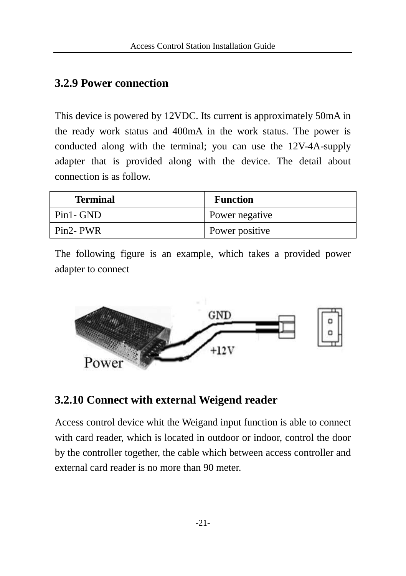### <span id="page-23-0"></span>**3.2.9 Power connection**

This device is powered by 12VDC. Its current is approximately 50mA in the ready work status and 400mA in the work status. The power is conducted along with the terminal; you can use the 12V-4A-supply adapter that is provided along with the device. The detail about connection is as follow.

| <b>Terminal</b>        | <b>Function</b> |
|------------------------|-----------------|
| Pin1- GND              | Power negative  |
| Pin <sub>2</sub> - PWR | Power positive  |

The following figure is an example, which takes a provided power adapter to connect



### <span id="page-23-1"></span>**3.2.10 Connect with external Weigend reader**

Access control device whit the Weigand input function is able to connect with card reader, which is located in outdoor or indoor, control the door by the controller together, the cable which between access controller and external card reader is no more than 90 meter.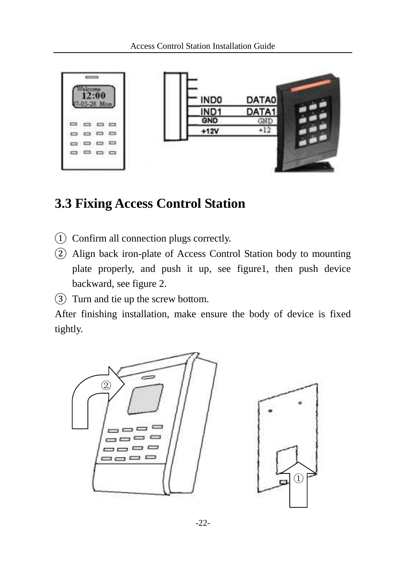

# <span id="page-24-0"></span>**3.3 Fixing Access Control Station**

- ① Confirm all connection plugs correctly.
- ② Align back iron-plate of Access Control Station body to mounting plate properly, and push it up, see figure1, then push device backward, see figure 2.

③ Turn and tie up the screw bottom.

After finishing installation, make ensure the body of device is fixed tightly.

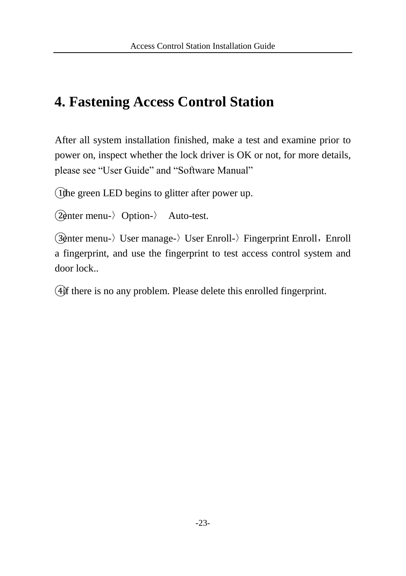# <span id="page-25-0"></span>**4. Fastening Access Control Station**

After all system installation finished, make a test and examine prior to power on, inspect whether the lock driver is OK or not, for more details, please see "User Guide" and "Software Manual"

The green LED begins to glitter after power up.

②enter menu-〉Option-〉 Auto-test.

 $\langle \text{Qenter menu-}\rangle$  User manage- $\rangle$  User Enroll- $\rangle$  Fingerprint Enroll, Enroll a fingerprint, and use the fingerprint to test access control system and door lock..

④if there is no any problem. Please delete this enrolled fingerprint.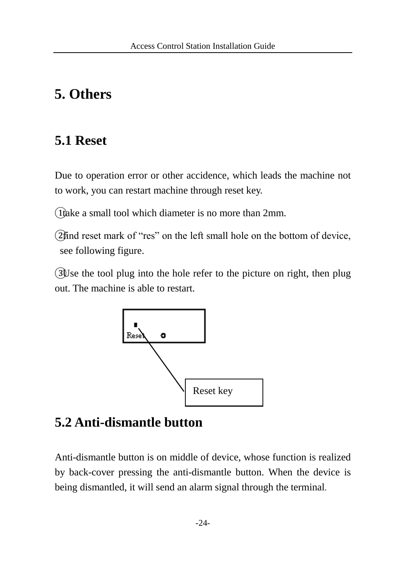# <span id="page-26-0"></span>**5. Others**

## <span id="page-26-1"></span>**5.1 Reset**

Due to operation error or other accidence, which leads the machine not to work, you can restart machine through reset key.

The a small tool which diameter is no more than 2mm.

②find reset mark of "res" on the left small hole on the bottom of device, see following figure.

③Use the tool plug into the hole refer to the picture on right, then plug out. The machine is able to restart.



# <span id="page-26-2"></span>**5.2 Anti-dismantle button**

Anti-dismantle button is on middle of device, whose function is realized by back-cover pressing the anti-dismantle button. When the device is being dismantled, it will send an alarm signal through the terminal.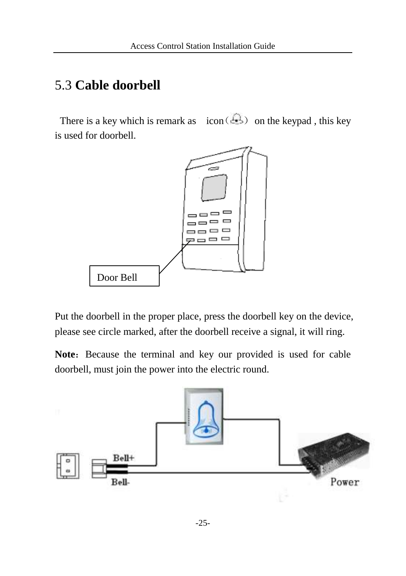### <span id="page-27-0"></span>5.3 **Cable doorbell**

There is a key which is remark as  $\text{icon}(\mathcal{Q})$  on the keypad, this key is used for doorbell.



Put the doorbell in the proper place, press the doorbell key on the device, please see circle marked, after the doorbell receive a signal, it will ring.

Note: Because the terminal and key our provided is used for cable doorbell, must join the power into the electric round.

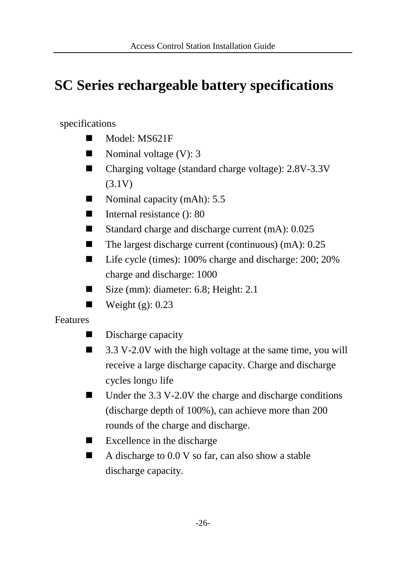# <span id="page-28-0"></span>**SC Series rechargeable battery specifications**

#### specifications

- Model: MS621F
- Nominal voltage  $(V)$ : 3
- Charging voltage (standard charge voltage): 2.8V-3.3V (3.1V)
- Nominal capacity (mAh):  $5.5$
- **Internal resistance (): 80**
- Standard charge and discharge current (mA): 0.025
- $\blacksquare$  The largest discharge current (continuous) (mA): 0.25
- Life cycle (times): 100% charge and discharge: 200: 20% charge and discharge: 1000
- Size (mm): diameter:  $6.8$ ; Height:  $2.1$
- Weight (g):  $0.23$

### **Features**

- Discharge capacity
- 3.3 V-2.0V with the high voltage at the same time, you will receive a large discharge capacity. Charge and discharge cycles long life
- $\blacksquare$  Under the 3.3 V-2.0V the charge and discharge conditions (discharge depth of 100%), can achieve more than 200 rounds of the charge and discharge.
- Excellence in the discharge
- $\blacksquare$  A discharge to 0.0 V so far, can also show a stable discharge capacity.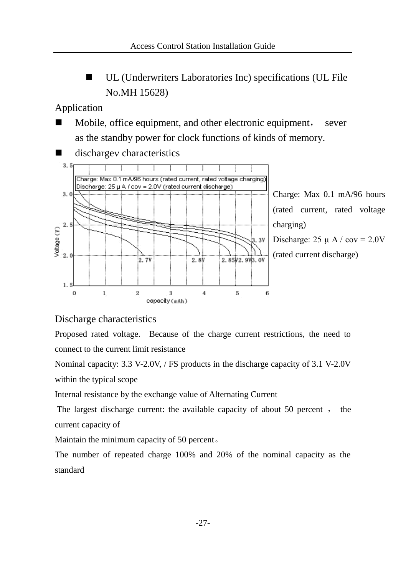### UL (Underwriters Laboratories Inc) specifications (UL File No.MH 15628)

Application

 Mobile, office equipment, and other electronic equipment, sever as the standby power for clock functions of kinds of memory.

 $\blacksquare$  dischargev characteristics



#### Discharge characteristics

Proposed rated voltage. Because of the charge current restrictions, the need to connect to the current limit resistance

Nominal capacity: 3.3 V-2.0V, / FS products in the discharge capacity of 3.1 V-2.0V within the typical scope

Internal resistance by the exchange value of Alternating Current

The largest discharge current: the available capacity of about 50 percent , the current capacity of

Maintain the minimum capacity of 50 percent。

The number of repeated charge 100% and 20% of the nominal capacity as the standard